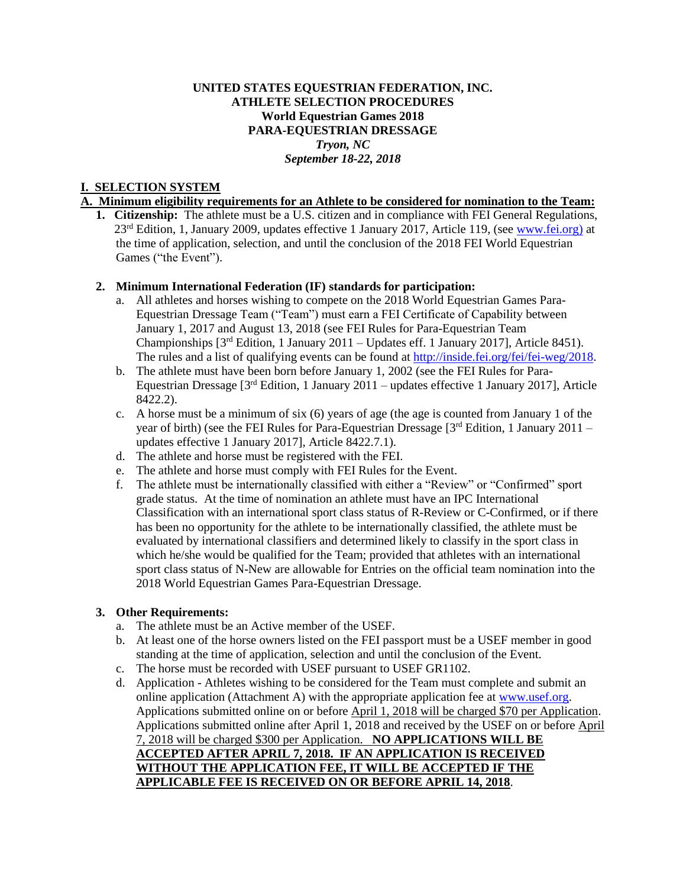## **UNITED STATES EQUESTRIAN FEDERATION, INC. ATHLETE SELECTION PROCEDURES World Equestrian Games 2018 PARA-EQUESTRIAN DRESSAGE** *Tryon, NC September 18-22, 2018*

## **I. SELECTION SYSTEM**

## **A. Minimum eligibility requirements for an Athlete to be considered for nomination to the Team:**

**1. Citizenship:** The athlete must be a U.S. citizen and in compliance with FEI General Regulations, 23rd Edition, 1, January 2009, updates effective 1 January 2017, Article 119, (see [www.fei.org\)](http://www.fei.org/) at the time of application, selection, and until the conclusion of the 2018 FEI World Equestrian Games ("the Event").

### **2. Minimum International Federation (IF) standards for participation:**

- a. All athletes and horses wishing to compete on the 2018 World Equestrian Games Para-Equestrian Dressage Team ("Team") must earn a FEI Certificate of Capability between January 1, 2017 and August 13, 2018 (see FEI Rules for Para-Equestrian Team Championships [3rd Edition, 1 January 2011 – Updates eff. 1 January 2017], Article 8451). The rules and a list of qualifying events can be found at [http://inside.fei.org/fei/fei-weg/2018.](http://inside.fei.org/fei/fei-weg/2018)
- b. The athlete must have been born before January 1, 2002 (see the FEI Rules for Para-Equestrian Dressage [3rd Edition, 1 January 2011 – updates effective 1 January 2017], Article 8422.2).
- c. A horse must be a minimum of six (6) years of age (the age is counted from January 1 of the year of birth) (see the FEI Rules for Para-Equestrian Dressage  $3<sup>rd</sup>$  Edition, 1 January 2011 – updates effective 1 January 2017], Article 8422.7.1).
- d. The athlete and horse must be registered with the FEI.
- e. The athlete and horse must comply with FEI Rules for the Event.
- f. The athlete must be internationally classified with either a "Review" or "Confirmed" sport grade status. At the time of nomination an athlete must have an IPC International Classification with an international sport class status of R-Review or C-Confirmed, or if there has been no opportunity for the athlete to be internationally classified, the athlete must be evaluated by international classifiers and determined likely to classify in the sport class in which he/she would be qualified for the Team; provided that athletes with an international sport class status of N-New are allowable for Entries on the official team nomination into the 2018 World Equestrian Games Para-Equestrian Dressage.

#### **3. Other Requirements:**

- a. The athlete must be an Active member of the USEF.
- b. At least one of the horse owners listed on the FEI passport must be a USEF member in good standing at the time of application, selection and until the conclusion of the Event.
- c. The horse must be recorded with USEF pursuant to USEF GR1102.
- d. Application Athletes wishing to be considered for the Team must complete and submit an online application (Attachment A) with the appropriate application fee at [www.usef.org.](http://www.usef.org/) Applications submitted online on or before April 1, 2018 will be charged \$70 per Application. Applications submitted online after April 1, 2018 and received by the USEF on or before April 7, 2018 will be charged \$300 per Application. **NO APPLICATIONS WILL BE ACCEPTED AFTER APRIL 7, 2018. IF AN APPLICATION IS RECEIVED WITHOUT THE APPLICATION FEE, IT WILL BE ACCEPTED IF THE APPLICABLE FEE IS RECEIVED ON OR BEFORE APRIL 14, 2018**.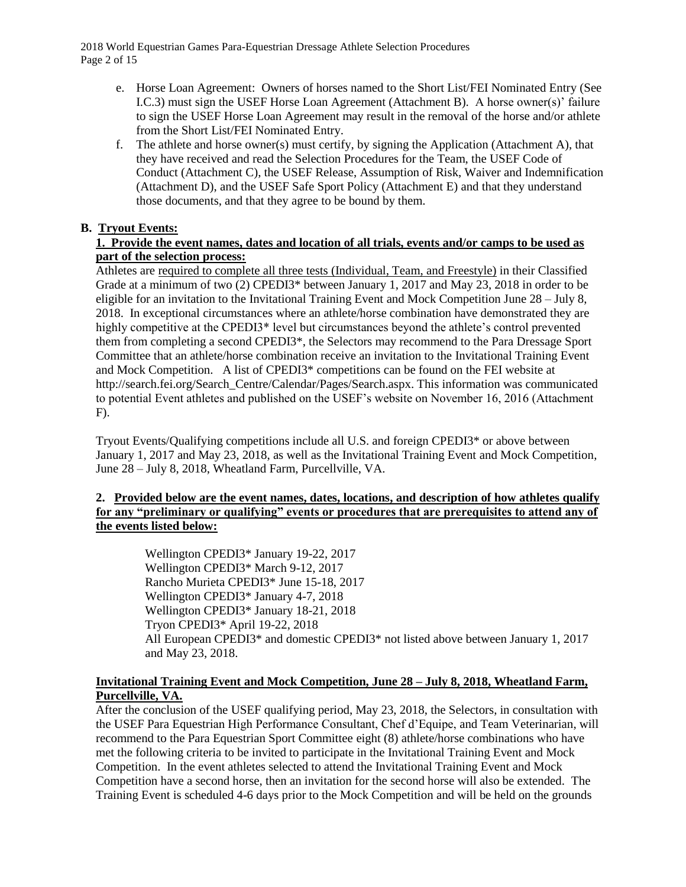2018 World Equestrian Games Para-Equestrian Dressage Athlete Selection Procedures Page 2 of 15

- e. Horse Loan Agreement: Owners of horses named to the Short List/FEI Nominated Entry (See I.C.3) must sign the USEF Horse Loan Agreement (Attachment B). A horse owner(s)' failure to sign the USEF Horse Loan Agreement may result in the removal of the horse and/or athlete from the Short List/FEI Nominated Entry.
- f. The athlete and horse owner(s) must certify, by signing the Application (Attachment A), that they have received and read the Selection Procedures for the Team, the USEF Code of Conduct (Attachment C), the USEF Release, Assumption of Risk, Waiver and Indemnification (Attachment D), and the USEF Safe Sport Policy (Attachment E) and that they understand those documents, and that they agree to be bound by them.

## **B. Tryout Events:**

### **1. Provide the event names, dates and location of all trials, events and/or camps to be used as part of the selection process:**

Athletes are required to complete all three tests (Individual, Team, and Freestyle) in their Classified Grade at a minimum of two (2) CPEDI3\* between January 1, 2017 and May 23, 2018 in order to be eligible for an invitation to the Invitational Training Event and Mock Competition June 28 – July 8, 2018. In exceptional circumstances where an athlete/horse combination have demonstrated they are highly competitive at the CPEDI3<sup>\*</sup> level but circumstances beyond the athlete's control prevented them from completing a second CPEDI3\*, the Selectors may recommend to the Para Dressage Sport Committee that an athlete/horse combination receive an invitation to the Invitational Training Event and Mock Competition. A list of CPEDI3\* competitions can be found on the FEI website at http://search.fei.org/Search\_Centre/Calendar/Pages/Search.aspx. This information was communicated to potential Event athletes and published on the USEF's website on November 16, 2016 (Attachment F).

Tryout Events/Qualifying competitions include all U.S. and foreign CPEDI3\* or above between January 1, 2017 and May 23, 2018, as well as the Invitational Training Event and Mock Competition, June 28 – July 8, 2018, Wheatland Farm, Purcellville, VA.

### **2. Provided below are the event names, dates, locations, and description of how athletes qualify for any "preliminary or qualifying" events or procedures that are prerequisites to attend any of the events listed below:**

Wellington CPEDI3\* January 19-22, 2017 Wellington CPEDI3\* March 9-12, 2017 Rancho Murieta CPEDI3\* June 15-18, 2017 Wellington CPEDI3\* January 4-7, 2018 Wellington CPEDI3\* January 18-21, 2018 Tryon CPEDI3\* April 19-22, 2018 All European CPEDI3\* and domestic CPEDI3\* not listed above between January 1, 2017 and May 23, 2018.

### **Invitational Training Event and Mock Competition, June 28 – July 8, 2018, Wheatland Farm, Purcellville, VA.**

After the conclusion of the USEF qualifying period, May 23, 2018, the Selectors, in consultation with the USEF Para Equestrian High Performance Consultant, Chef d'Equipe, and Team Veterinarian, will recommend to the Para Equestrian Sport Committee eight (8) athlete/horse combinations who have met the following criteria to be invited to participate in the Invitational Training Event and Mock Competition. In the event athletes selected to attend the Invitational Training Event and Mock Competition have a second horse, then an invitation for the second horse will also be extended. The Training Event is scheduled 4-6 days prior to the Mock Competition and will be held on the grounds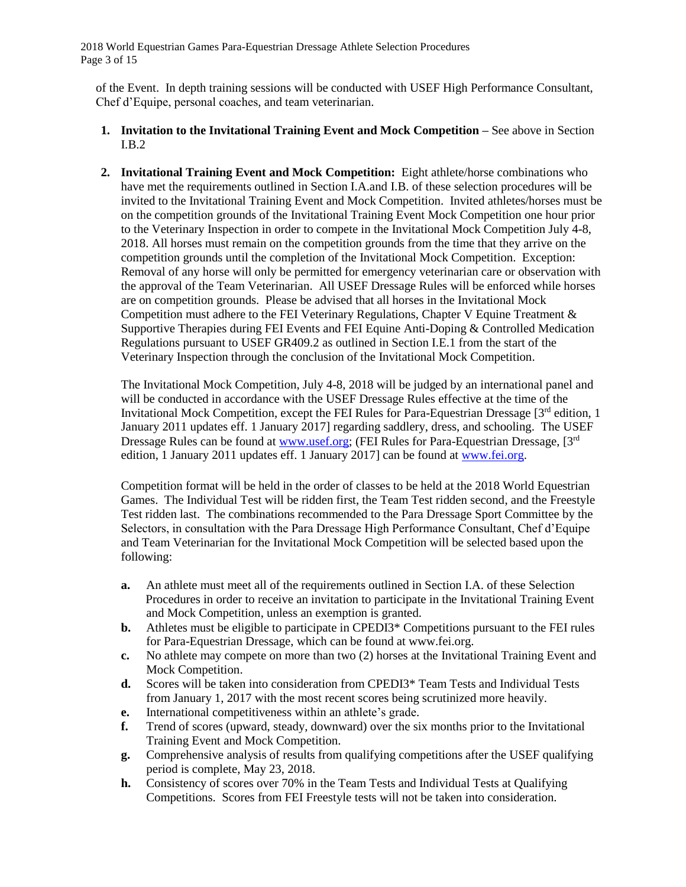2018 World Equestrian Games Para-Equestrian Dressage Athlete Selection Procedures Page 3 of 15

of the Event. In depth training sessions will be conducted with USEF High Performance Consultant, Chef d'Equipe, personal coaches, and team veterinarian.

- **1. Invitation to the Invitational Training Event and Mock Competition –** See above in Section I.B.2
- **2. Invitational Training Event and Mock Competition:** Eight athlete/horse combinations who have met the requirements outlined in Section I.A.and I.B. of these selection procedures will be invited to the Invitational Training Event and Mock Competition. Invited athletes/horses must be on the competition grounds of the Invitational Training Event Mock Competition one hour prior to the Veterinary Inspection in order to compete in the Invitational Mock Competition July 4-8, 2018. All horses must remain on the competition grounds from the time that they arrive on the competition grounds until the completion of the Invitational Mock Competition. Exception: Removal of any horse will only be permitted for emergency veterinarian care or observation with the approval of the Team Veterinarian. All USEF Dressage Rules will be enforced while horses are on competition grounds. Please be advised that all horses in the Invitational Mock Competition must adhere to the FEI Veterinary Regulations, Chapter V Equine Treatment & Supportive Therapies during FEI Events and FEI Equine Anti-Doping & Controlled Medication Regulations pursuant to USEF GR409.2 as outlined in Section I.E.1 from the start of the Veterinary Inspection through the conclusion of the Invitational Mock Competition.

The Invitational Mock Competition, July 4-8, 2018 will be judged by an international panel and will be conducted in accordance with the USEF Dressage Rules effective at the time of the Invitational Mock Competition, except the FEI Rules for Para-Equestrian Dressage [3<sup>rd</sup> edition, 1 January 2011 updates eff. 1 January 2017] regarding saddlery, dress, and schooling. The USEF Dressage Rules can be found at **www.usef.org**; (FEI Rules for Para-Equestrian Dressage, [3<sup>rd</sup>] edition, 1 January 2011 updates eff. 1 January 2017] can be found at [www.fei.org.](file://///uset-dc1/DOC/ljohnson/Winword/2014/Para%20Equestrian/WEG/www.fei.org)

Competition format will be held in the order of classes to be held at the 2018 World Equestrian Games. The Individual Test will be ridden first, the Team Test ridden second, and the Freestyle Test ridden last. The combinations recommended to the Para Dressage Sport Committee by the Selectors, in consultation with the Para Dressage High Performance Consultant, Chef d'Equipe and Team Veterinarian for the Invitational Mock Competition will be selected based upon the following:

- **a.** An athlete must meet all of the requirements outlined in Section I.A. of these Selection Procedures in order to receive an invitation to participate in the Invitational Training Event and Mock Competition, unless an exemption is granted.
- **b.** Athletes must be eligible to participate in CPEDI3\* Competitions pursuant to the FEI rules for Para-Equestrian Dressage, which can be found at www.fei.org.
- **c.** No athlete may compete on more than two (2) horses at the Invitational Training Event and Mock Competition.
- **d.** Scores will be taken into consideration from CPEDI3\* Team Tests and Individual Tests from January 1, 2017 with the most recent scores being scrutinized more heavily.
- **e.** International competitiveness within an athlete's grade.
- **f.** Trend of scores (upward, steady, downward) over the six months prior to the Invitational Training Event and Mock Competition.
- **g.** Comprehensive analysis of results from qualifying competitions after the USEF qualifying period is complete, May 23, 2018.
- **h.** Consistency of scores over 70% in the Team Tests and Individual Tests at Qualifying Competitions. Scores from FEI Freestyle tests will not be taken into consideration.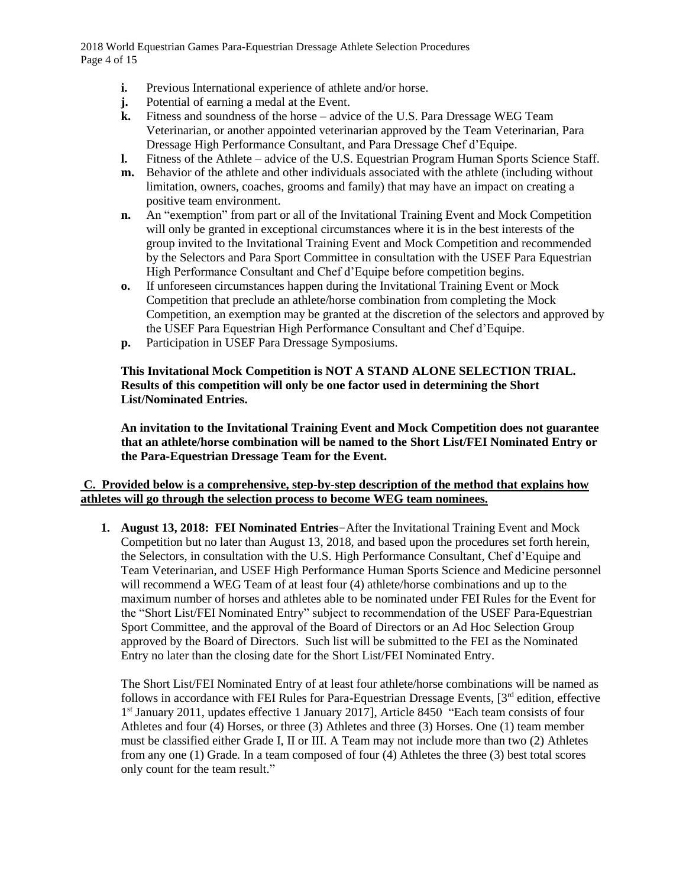2018 World Equestrian Games Para-Equestrian Dressage Athlete Selection Procedures Page 4 of 15

- **i.** Previous International experience of athlete and/or horse.
- **j.** Potential of earning a medal at the Event.
- **k.** Fitness and soundness of the horse advice of the U.S. Para Dressage WEG Team Veterinarian, or another appointed veterinarian approved by the Team Veterinarian, Para Dressage High Performance Consultant, and Para Dressage Chef d'Equipe.
- **l.** Fitness of the Athlete advice of the U.S. Equestrian Program Human Sports Science Staff.
- **m.** Behavior of the athlete and other individuals associated with the athlete (including without limitation, owners, coaches, grooms and family) that may have an impact on creating a positive team environment.
- **n.** An "exemption" from part or all of the Invitational Training Event and Mock Competition will only be granted in exceptional circumstances where it is in the best interests of the group invited to the Invitational Training Event and Mock Competition and recommended by the Selectors and Para Sport Committee in consultation with the USEF Para Equestrian High Performance Consultant and Chef d'Equipe before competition begins.
- **o.** If unforeseen circumstances happen during the Invitational Training Event or Mock Competition that preclude an athlete/horse combination from completing the Mock Competition, an exemption may be granted at the discretion of the selectors and approved by the USEF Para Equestrian High Performance Consultant and Chef d'Equipe.
- **p.** Participation in USEF Para Dressage Symposiums.

## **This Invitational Mock Competition is NOT A STAND ALONE SELECTION TRIAL. Results of this competition will only be one factor used in determining the Short List/Nominated Entries.**

**An invitation to the Invitational Training Event and Mock Competition does not guarantee that an athlete/horse combination will be named to the Short List/FEI Nominated Entry or the Para-Equestrian Dressage Team for the Event.**

## **C. Provided below is a comprehensive, step-by-step description of the method that explains how athletes will go through the selection process to become WEG team nominees.**

**1. August 13, 2018: FEI Nominated Entries**–After the Invitational Training Event and Mock Competition but no later than August 13, 2018, and based upon the procedures set forth herein, the Selectors, in consultation with the U.S. High Performance Consultant, Chef d'Equipe and Team Veterinarian, and USEF High Performance Human Sports Science and Medicine personnel will recommend a WEG Team of at least four (4) athlete/horse combinations and up to the maximum number of horses and athletes able to be nominated under FEI Rules for the Event for the "Short List/FEI Nominated Entry" subject to recommendation of the USEF Para-Equestrian Sport Committee, and the approval of the Board of Directors or an Ad Hoc Selection Group approved by the Board of Directors. Such list will be submitted to the FEI as the Nominated Entry no later than the closing date for the Short List/FEI Nominated Entry.

The Short List/FEI Nominated Entry of at least four athlete/horse combinations will be named as follows in accordance with FEI Rules for Para-Equestrian Dressage Events, [3<sup>rd</sup> edition, effective 1<sup>st</sup> January 2011, updates effective 1 January 2017], Article 8450 "Each team consists of four Athletes and four (4) Horses, or three (3) Athletes and three (3) Horses. One (1) team member must be classified either Grade I, II or III. A Team may not include more than two (2) Athletes from any one (1) Grade*.* In a team composed of four (4) Athletes the three (3) best total scores only count for the team result."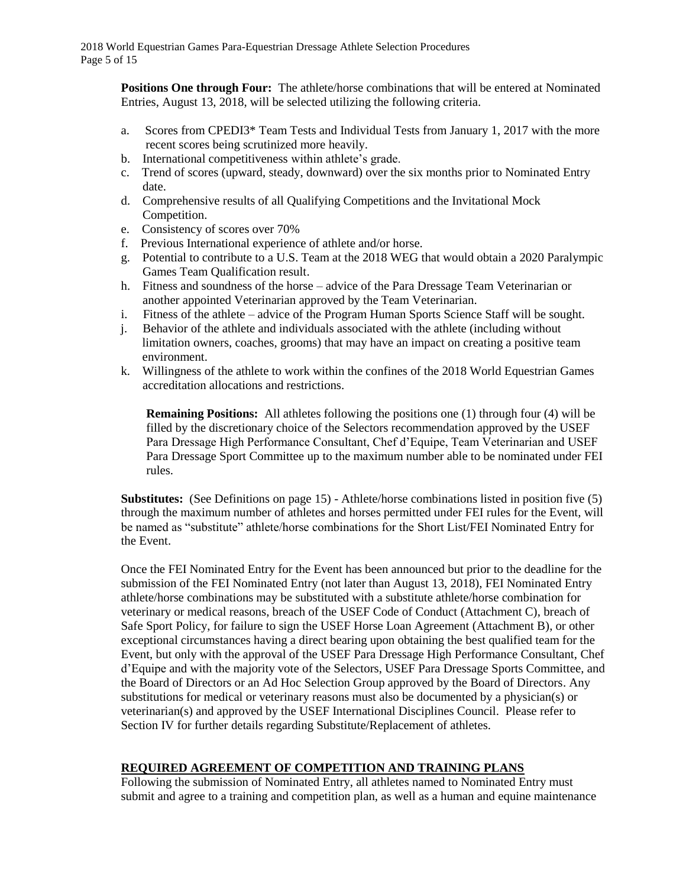**Positions One through Four:** The athlete/horse combinations that will be entered at Nominated Entries, August 13, 2018, will be selected utilizing the following criteria.

- a. Scores from CPEDI3\* Team Tests and Individual Tests from January 1, 2017 with the more recent scores being scrutinized more heavily.
- b.International competitiveness within athlete's grade.
- c. Trend of scores (upward, steady, downward) over the six months prior to Nominated Entry date.
- d. Comprehensive results of all Qualifying Competitions and the Invitational Mock Competition.
- e. Consistency of scores over 70%
- f. Previous International experience of athlete and/or horse.
- g. Potential to contribute to a U.S. Team at the 2018 WEG that would obtain a 2020 Paralympic Games Team Qualification result.
- h. Fitness and soundness of the horse advice of the Para Dressage Team Veterinarian or another appointed Veterinarian approved by the Team Veterinarian.
- i. Fitness of the athlete advice of the Program Human Sports Science Staff will be sought.
- j. Behavior of the athlete and individuals associated with the athlete (including without limitation owners, coaches, grooms) that may have an impact on creating a positive team environment.
- k. Willingness of the athlete to work within the confines of the 2018 World Equestrian Games accreditation allocations and restrictions.

**Remaining Positions:** All athletes following the positions one (1) through four (4) will be filled by the discretionary choice of the Selectors recommendation approved by the USEF Para Dressage High Performance Consultant, Chef d'Equipe, Team Veterinarian and USEF Para Dressage Sport Committee up to the maximum number able to be nominated under FEI rules.

**Substitutes:** (See Definitions on page 15) - Athlete/horse combinations listed in position five (5) through the maximum number of athletes and horses permitted under FEI rules for the Event, will be named as "substitute" athlete/horse combinations for the Short List/FEI Nominated Entry for the Event.

Once the FEI Nominated Entry for the Event has been announced but prior to the deadline for the submission of the FEI Nominated Entry (not later than August 13, 2018), FEI Nominated Entry athlete/horse combinations may be substituted with a substitute athlete/horse combination for veterinary or medical reasons, breach of the USEF Code of Conduct (Attachment C), breach of Safe Sport Policy, for failure to sign the USEF Horse Loan Agreement (Attachment B), or other exceptional circumstances having a direct bearing upon obtaining the best qualified team for the Event, but only with the approval of the USEF Para Dressage High Performance Consultant, Chef d'Equipe and with the majority vote of the Selectors, USEF Para Dressage Sports Committee, and the Board of Directors or an Ad Hoc Selection Group approved by the Board of Directors. Any substitutions for medical or veterinary reasons must also be documented by a physician(s) or veterinarian(s) and approved by the USEF International Disciplines Council. Please refer to Section IV for further details regarding Substitute/Replacement of athletes.

## **REQUIRED AGREEMENT OF COMPETITION AND TRAINING PLANS**

Following the submission of Nominated Entry, all athletes named to Nominated Entry must submit and agree to a training and competition plan, as well as a human and equine maintenance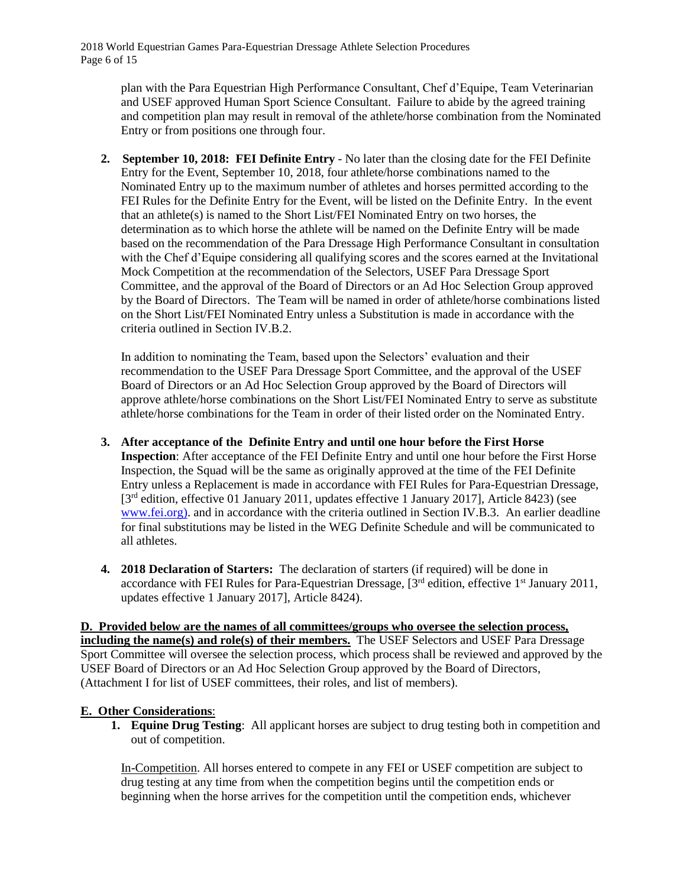2018 World Equestrian Games Para-Equestrian Dressage Athlete Selection Procedures Page 6 of 15

plan with the Para Equestrian High Performance Consultant, Chef d'Equipe, Team Veterinarian and USEF approved Human Sport Science Consultant. Failure to abide by the agreed training and competition plan may result in removal of the athlete/horse combination from the Nominated Entry or from positions one through four.

**2. September 10, 2018: FEI Definite Entry** - No later than the closing date for the FEI Definite Entry for the Event, September 10, 2018, four athlete/horse combinations named to the Nominated Entry up to the maximum number of athletes and horses permitted according to the FEI Rules for the Definite Entry for the Event, will be listed on the Definite Entry. In the event that an athlete(s) is named to the Short List/FEI Nominated Entry on two horses, the determination as to which horse the athlete will be named on the Definite Entry will be made based on the recommendation of the Para Dressage High Performance Consultant in consultation with the Chef d'Equipe considering all qualifying scores and the scores earned at the Invitational Mock Competition at the recommendation of the Selectors, USEF Para Dressage Sport Committee, and the approval of the Board of Directors or an Ad Hoc Selection Group approved by the Board of Directors. The Team will be named in order of athlete/horse combinations listed on the Short List/FEI Nominated Entry unless a Substitution is made in accordance with the criteria outlined in Section IV.B.2.

In addition to nominating the Team, based upon the Selectors' evaluation and their recommendation to the USEF Para Dressage Sport Committee, and the approval of the USEF Board of Directors or an Ad Hoc Selection Group approved by the Board of Directors will approve athlete/horse combinations on the Short List/FEI Nominated Entry to serve as substitute athlete/horse combinations for the Team in order of their listed order on the Nominated Entry.

- **3. After acceptance of the Definite Entry and until one hour before the First Horse Inspection**: After acceptance of the FEI Definite Entry and until one hour before the First Horse Inspection, the Squad will be the same as originally approved at the time of the FEI Definite Entry unless a Replacement is made in accordance with FEI Rules for Para-Equestrian Dressage, [3<sup>rd</sup> edition, effective 01 January 2011, updates effective 1 January 2017], Article 8423) (see [www.fei.org\)](file://///uset-dc1/DOC/ljohnson/Winword/2014/Para%20Equestrian/WEG/www.fei.org), and in accordance with the criteria outlined in Section IV.B.3. An earlier deadline for final substitutions may be listed in the WEG Definite Schedule and will be communicated to all athletes.
- **4. 2018 Declaration of Starters:** The declaration of starters (if required) will be done in accordance with FEI Rules for Para-Equestrian Dressage, [3<sup>rd</sup> edition, effective 1<sup>st</sup> January 2011, updates effective 1 January 2017], Article 8424).

**D. Provided below are the names of all committees/groups who oversee the selection process, including the name(s) and role(s) of their members.** The USEF Selectors and USEF Para Dressage Sport Committee will oversee the selection process, which process shall be reviewed and approved by the USEF Board of Directors or an Ad Hoc Selection Group approved by the Board of Directors, (Attachment I for list of USEF committees, their roles, and list of members).

### **E. Other Considerations**:

**1. Equine Drug Testing**: All applicant horses are subject to drug testing both in competition and out of competition.

In-Competition. All horses entered to compete in any FEI or USEF competition are subject to drug testing at any time from when the competition begins until the competition ends or beginning when the horse arrives for the competition until the competition ends, whichever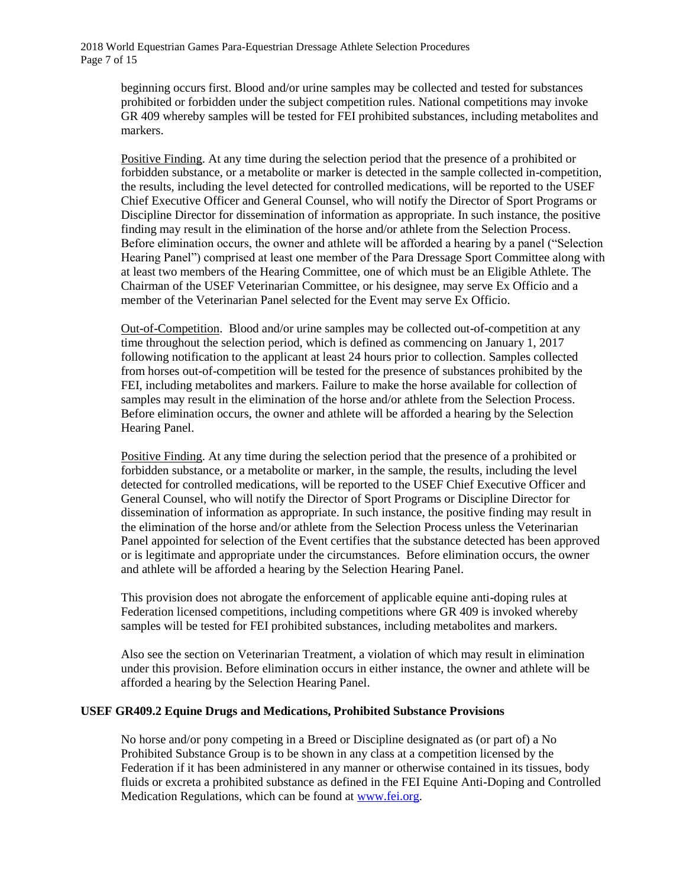2018 World Equestrian Games Para-Equestrian Dressage Athlete Selection Procedures Page 7 of 15

> beginning occurs first. Blood and/or urine samples may be collected and tested for substances prohibited or forbidden under the subject competition rules. National competitions may invoke GR 409 whereby samples will be tested for FEI prohibited substances, including metabolites and markers.

Positive Finding. At any time during the selection period that the presence of a prohibited or forbidden substance, or a metabolite or marker is detected in the sample collected in-competition, the results, including the level detected for controlled medications, will be reported to the USEF Chief Executive Officer and General Counsel, who will notify the Director of Sport Programs or Discipline Director for dissemination of information as appropriate. In such instance, the positive finding may result in the elimination of the horse and/or athlete from the Selection Process. Before elimination occurs, the owner and athlete will be afforded a hearing by a panel ("Selection Hearing Panel") comprised at least one member of the Para Dressage Sport Committee along with at least two members of the Hearing Committee, one of which must be an Eligible Athlete. The Chairman of the USEF Veterinarian Committee, or his designee, may serve Ex Officio and a member of the Veterinarian Panel selected for the Event may serve Ex Officio.

Out-of-Competition. Blood and/or urine samples may be collected out-of-competition at any time throughout the selection period, which is defined as commencing on January 1, 2017 following notification to the applicant at least 24 hours prior to collection. Samples collected from horses out-of-competition will be tested for the presence of substances prohibited by the FEI, including metabolites and markers. Failure to make the horse available for collection of samples may result in the elimination of the horse and/or athlete from the Selection Process. Before elimination occurs, the owner and athlete will be afforded a hearing by the Selection Hearing Panel.

Positive Finding. At any time during the selection period that the presence of a prohibited or forbidden substance, or a metabolite or marker, in the sample, the results, including the level detected for controlled medications, will be reported to the USEF Chief Executive Officer and General Counsel, who will notify the Director of Sport Programs or Discipline Director for dissemination of information as appropriate. In such instance, the positive finding may result in the elimination of the horse and/or athlete from the Selection Process unless the Veterinarian Panel appointed for selection of the Event certifies that the substance detected has been approved or is legitimate and appropriate under the circumstances. Before elimination occurs, the owner and athlete will be afforded a hearing by the Selection Hearing Panel.

This provision does not abrogate the enforcement of applicable equine anti-doping rules at Federation licensed competitions, including competitions where GR 409 is invoked whereby samples will be tested for FEI prohibited substances, including metabolites and markers.

Also see the section on Veterinarian Treatment, a violation of which may result in elimination under this provision. Before elimination occurs in either instance, the owner and athlete will be afforded a hearing by the Selection Hearing Panel.

#### **USEF GR409.2 Equine Drugs and Medications, Prohibited Substance Provisions**

No horse and/or pony competing in a Breed or Discipline designated as (or part of) a No Prohibited Substance Group is to be shown in any class at a competition licensed by the Federation if it has been administered in any manner or otherwise contained in its tissues, body fluids or excreta a prohibited substance as defined in the FEI Equine Anti-Doping and Controlled Medication Regulations, which can be found at [www.fei.org.](http://www.fei.org/)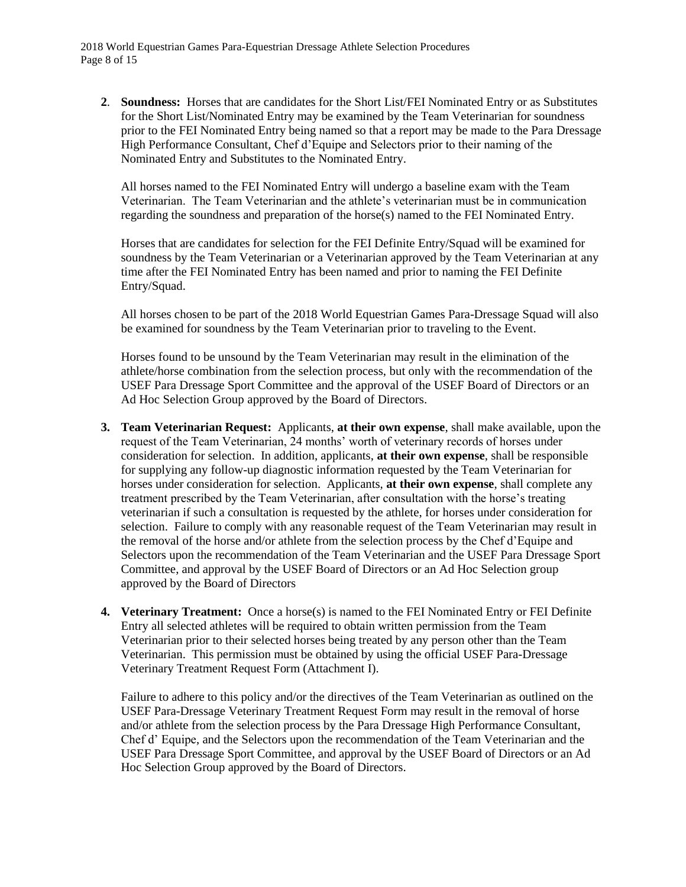2018 World Equestrian Games Para-Equestrian Dressage Athlete Selection Procedures Page 8 of 15

**2**. **Soundness:** Horses that are candidates for the Short List/FEI Nominated Entry or as Substitutes for the Short List/Nominated Entry may be examined by the Team Veterinarian for soundness prior to the FEI Nominated Entry being named so that a report may be made to the Para Dressage High Performance Consultant, Chef d'Equipe and Selectors prior to their naming of the Nominated Entry and Substitutes to the Nominated Entry.

All horses named to the FEI Nominated Entry will undergo a baseline exam with the Team Veterinarian. The Team Veterinarian and the athlete's veterinarian must be in communication regarding the soundness and preparation of the horse(s) named to the FEI Nominated Entry.

Horses that are candidates for selection for the FEI Definite Entry/Squad will be examined for soundness by the Team Veterinarian or a Veterinarian approved by the Team Veterinarian at any time after the FEI Nominated Entry has been named and prior to naming the FEI Definite Entry/Squad.

All horses chosen to be part of the 2018 World Equestrian Games Para-Dressage Squad will also be examined for soundness by the Team Veterinarian prior to traveling to the Event.

Horses found to be unsound by the Team Veterinarian may result in the elimination of the athlete/horse combination from the selection process, but only with the recommendation of the USEF Para Dressage Sport Committee and the approval of the USEF Board of Directors or an Ad Hoc Selection Group approved by the Board of Directors.

- **3. Team Veterinarian Request:** Applicants, **at their own expense**, shall make available, upon the request of the Team Veterinarian, 24 months' worth of veterinary records of horses under consideration for selection. In addition, applicants, **at their own expense**, shall be responsible for supplying any follow-up diagnostic information requested by the Team Veterinarian for horses under consideration for selection. Applicants, **at their own expense**, shall complete any treatment prescribed by the Team Veterinarian, after consultation with the horse's treating veterinarian if such a consultation is requested by the athlete, for horses under consideration for selection. Failure to comply with any reasonable request of the Team Veterinarian may result in the removal of the horse and/or athlete from the selection process by the Chef d'Equipe and Selectors upon the recommendation of the Team Veterinarian and the USEF Para Dressage Sport Committee, and approval by the USEF Board of Directors or an Ad Hoc Selection group approved by the Board of Directors
- **4. Veterinary Treatment:** Once a horse(s) is named to the FEI Nominated Entry or FEI Definite Entry all selected athletes will be required to obtain written permission from the Team Veterinarian prior to their selected horses being treated by any person other than the Team Veterinarian. This permission must be obtained by using the official USEF Para-Dressage Veterinary Treatment Request Form (Attachment I).

Failure to adhere to this policy and/or the directives of the Team Veterinarian as outlined on the USEF Para-Dressage Veterinary Treatment Request Form may result in the removal of horse and/or athlete from the selection process by the Para Dressage High Performance Consultant, Chef d' Equipe, and the Selectors upon the recommendation of the Team Veterinarian and the USEF Para Dressage Sport Committee, and approval by the USEF Board of Directors or an Ad Hoc Selection Group approved by the Board of Directors.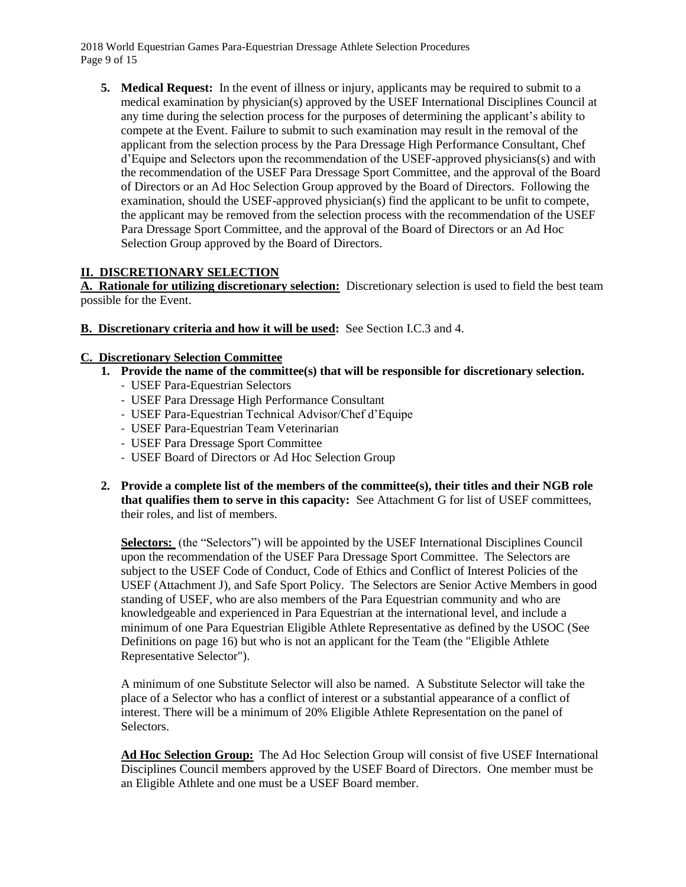2018 World Equestrian Games Para-Equestrian Dressage Athlete Selection Procedures Page 9 of 15

**5. Medical Request:** In the event of illness or injury, applicants may be required to submit to a medical examination by physician(s) approved by the USEF International Disciplines Council at any time during the selection process for the purposes of determining the applicant's ability to compete at the Event. Failure to submit to such examination may result in the removal of the applicant from the selection process by the Para Dressage High Performance Consultant, Chef d'Equipe and Selectors upon the recommendation of the USEF-approved physicians(s) and with the recommendation of the USEF Para Dressage Sport Committee, and the approval of the Board of Directors or an Ad Hoc Selection Group approved by the Board of Directors. Following the examination, should the USEF-approved physician(s) find the applicant to be unfit to compete, the applicant may be removed from the selection process with the recommendation of the USEF Para Dressage Sport Committee, and the approval of the Board of Directors or an Ad Hoc Selection Group approved by the Board of Directors.

## **II. DISCRETIONARY SELECTION**

**A. Rationale for utilizing discretionary selection:** Discretionary selection is used to field the best team possible for the Event.

**B. Discretionary criteria and how it will be used:** See Section I.C.3 and 4.

### **C. Discretionary Selection Committee**

- **1. Provide the name of the committee(s) that will be responsible for discretionary selection.**
	- USEF Para-Equestrian Selectors
	- USEF Para Dressage High Performance Consultant
	- USEF Para-Equestrian Technical Advisor/Chef d'Equipe
	- USEF Para-Equestrian Team Veterinarian
	- USEF Para Dressage Sport Committee
	- USEF Board of Directors or Ad Hoc Selection Group
- **2. Provide a complete list of the members of the committee(s), their titles and their NGB role that qualifies them to serve in this capacity:** See Attachment G for list of USEF committees, their roles, and list of members.

**Selectors:** (the "Selectors") will be appointed by the USEF International Disciplines Council upon the recommendation of the USEF Para Dressage Sport Committee. The Selectors are subject to the USEF Code of Conduct, Code of Ethics and Conflict of Interest Policies of the USEF (Attachment J), and Safe Sport Policy. The Selectors are Senior Active Members in good standing of USEF, who are also members of the Para Equestrian community and who are knowledgeable and experienced in Para Equestrian at the international level, and include a minimum of one Para Equestrian Eligible Athlete Representative as defined by the USOC (See Definitions on page 16) but who is not an applicant for the Team (the "Eligible Athlete Representative Selector").

A minimum of one Substitute Selector will also be named. A Substitute Selector will take the place of a Selector who has a conflict of interest or a substantial appearance of a conflict of interest. There will be a minimum of 20% Eligible Athlete Representation on the panel of Selectors.

**Ad Hoc Selection Group:** The Ad Hoc Selection Group will consist of five USEF International Disciplines Council members approved by the USEF Board of Directors. One member must be an Eligible Athlete and one must be a USEF Board member.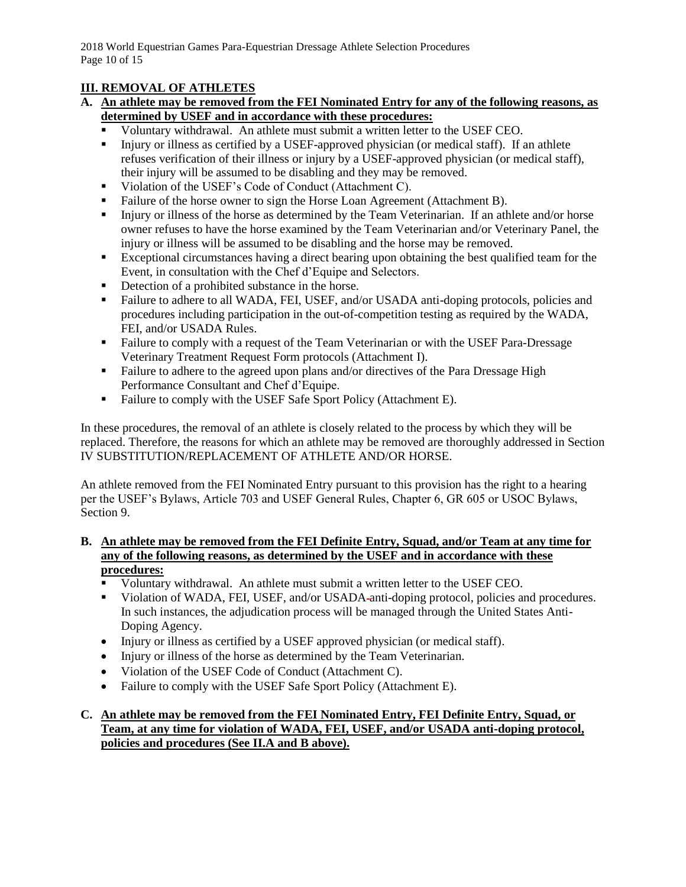# **III. REMOVAL OF ATHLETES**

## **A. An athlete may be removed from the FEI Nominated Entry for any of the following reasons, as determined by USEF and in accordance with these procedures:**

- Voluntary withdrawal. An athlete must submit a written letter to the USEF CEO.
- Injury or illness as certified by a USEF-approved physician (or medical staff). If an athlete refuses verification of their illness or injury by a USEF-approved physician (or medical staff), their injury will be assumed to be disabling and they may be removed.
- Violation of the USEF's Code of Conduct (Attachment C).
- Failure of the horse owner to sign the Horse Loan Agreement (Attachment B).
- Injury or illness of the horse as determined by the Team Veterinarian. If an athlete and/or horse owner refuses to have the horse examined by the Team Veterinarian and/or Veterinary Panel, the injury or illness will be assumed to be disabling and the horse may be removed.
- Exceptional circumstances having a direct bearing upon obtaining the best qualified team for the Event, in consultation with the Chef d'Equipe and Selectors.
- Detection of a prohibited substance in the horse.
- Failure to adhere to all WADA, FEI, USEF, and/or USADA anti-doping protocols, policies and procedures including participation in the out-of-competition testing as required by the WADA, FEI, and/or USADA Rules.
- Failure to comply with a request of the Team Veterinarian or with the USEF Para-Dressage Veterinary Treatment Request Form protocols (Attachment I).
- Failure to adhere to the agreed upon plans and/or directives of the Para Dressage High Performance Consultant and Chef d'Equipe.
- Failure to comply with the USEF Safe Sport Policy (Attachment E).

In these procedures, the removal of an athlete is closely related to the process by which they will be replaced. Therefore, the reasons for which an athlete may be removed are thoroughly addressed in Section IV SUBSTITUTION/REPLACEMENT OF ATHLETE AND/OR HORSE.

An athlete removed from the FEI Nominated Entry pursuant to this provision has the right to a hearing per the USEF's Bylaws, Article 703 and USEF General Rules, Chapter 6, GR 605 or USOC Bylaws, Section 9.

## **B. An athlete may be removed from the FEI Definite Entry, Squad, and/or Team at any time for any of the following reasons, as determined by the USEF and in accordance with these procedures:**

- Voluntary withdrawal. An athlete must submit a written letter to the USEF CEO.
- Violation of WADA, FEI, USEF, and/or USADA anti-doping protocol, policies and procedures. In such instances, the adjudication process will be managed through the United States Anti-Doping Agency.
- Injury or illness as certified by a USEF approved physician (or medical staff).
- Injury or illness of the horse as determined by the Team Veterinarian.
- Violation of the USEF Code of Conduct (Attachment C).
- Failure to comply with the USEF Safe Sport Policy (Attachment E).

## **C. An athlete may be removed from the FEI Nominated Entry, FEI Definite Entry, Squad, or Team, at any time for violation of WADA, FEI, USEF, and/or USADA anti-doping protocol, policies and procedures (See II.A and B above).**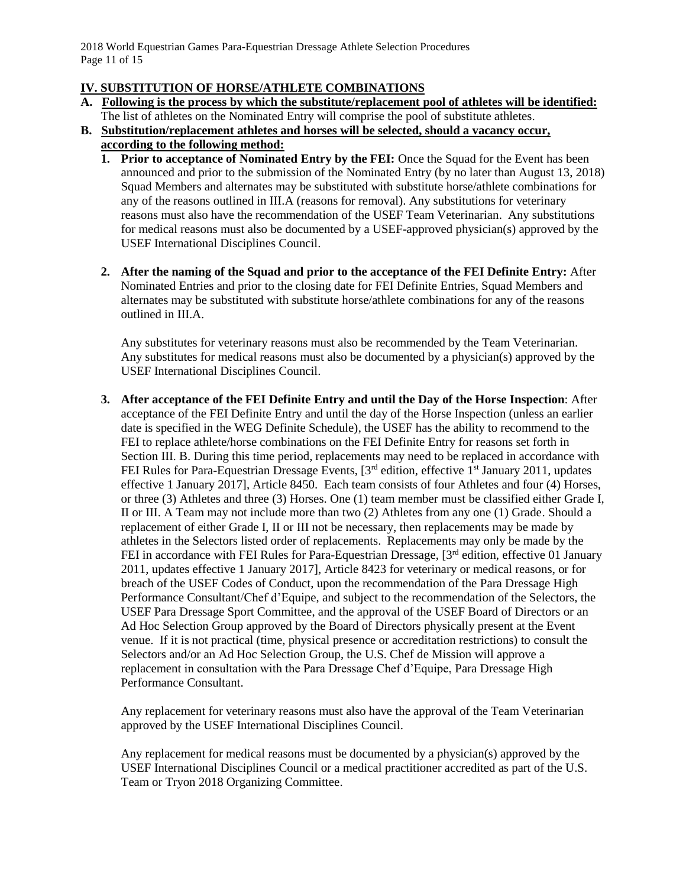2018 World Equestrian Games Para-Equestrian Dressage Athlete Selection Procedures Page 11 of 15

## **IV. SUBSTITUTION OF HORSE/ATHLETE COMBINATIONS**

**A. Following is the process by which the substitute/replacement pool of athletes will be identified:**

The list of athletes on the Nominated Entry will comprise the pool of substitute athletes. **B. Substitution/replacement athletes and horses will be selected, should a vacancy occur,** 

- **according to the following method:**
	- **1. Prior to acceptance of Nominated Entry by the FEI:** Once the Squad for the Event has been announced and prior to the submission of the Nominated Entry (by no later than August 13, 2018) Squad Members and alternates may be substituted with substitute horse/athlete combinations for any of the reasons outlined in III.A (reasons for removal). Any substitutions for veterinary reasons must also have the recommendation of the USEF Team Veterinarian. Any substitutions for medical reasons must also be documented by a USEF-approved physician(s) approved by the USEF International Disciplines Council.
	- **2. After the naming of the Squad and prior to the acceptance of the FEI Definite Entry:** After Nominated Entries and prior to the closing date for FEI Definite Entries, Squad Members and alternates may be substituted with substitute horse/athlete combinations for any of the reasons outlined in III.A.

Any substitutes for veterinary reasons must also be recommended by the Team Veterinarian. Any substitutes for medical reasons must also be documented by a physician(s) approved by the USEF International Disciplines Council.

**3. After acceptance of the FEI Definite Entry and until the Day of the Horse Inspection**: After acceptance of the FEI Definite Entry and until the day of the Horse Inspection (unless an earlier date is specified in the WEG Definite Schedule), the USEF has the ability to recommend to the FEI to replace athlete/horse combinations on the FEI Definite Entry for reasons set forth in Section III. B. During this time period, replacements may need to be replaced in accordance with FEI Rules for Para-Equestrian Dressage Events,  $3^{rd}$  edition, effective  $1^{st}$  January 2011, updates effective 1 January 2017], Article 8450. Each team consists of four Athletes and four (4) Horses, or three (3) Athletes and three (3) Horses. One (1) team member must be classified either Grade I, II or III. A Team may not include more than two (2) Athletes from any one (1) Grade. Should a replacement of either Grade I, II or III not be necessary, then replacements may be made by athletes in the Selectors listed order of replacements. Replacements may only be made by the FEI in accordance with FEI Rules for Para-Equestrian Dressage, [3<sup>rd</sup> edition, effective 01 January 2011, updates effective 1 January 2017], Article 8423 for veterinary or medical reasons, or for breach of the USEF Codes of Conduct, upon the recommendation of the Para Dressage High Performance Consultant/Chef d'Equipe, and subject to the recommendation of the Selectors, the USEF Para Dressage Sport Committee, and the approval of the USEF Board of Directors or an Ad Hoc Selection Group approved by the Board of Directors physically present at the Event venue. If it is not practical (time, physical presence or accreditation restrictions) to consult the Selectors and/or an Ad Hoc Selection Group, the U.S. Chef de Mission will approve a replacement in consultation with the Para Dressage Chef d'Equipe, Para Dressage High Performance Consultant.

Any replacement for veterinary reasons must also have the approval of the Team Veterinarian approved by the USEF International Disciplines Council.

Any replacement for medical reasons must be documented by a physician(s) approved by the USEF International Disciplines Council or a medical practitioner accredited as part of the U.S. Team or Tryon 2018 Organizing Committee.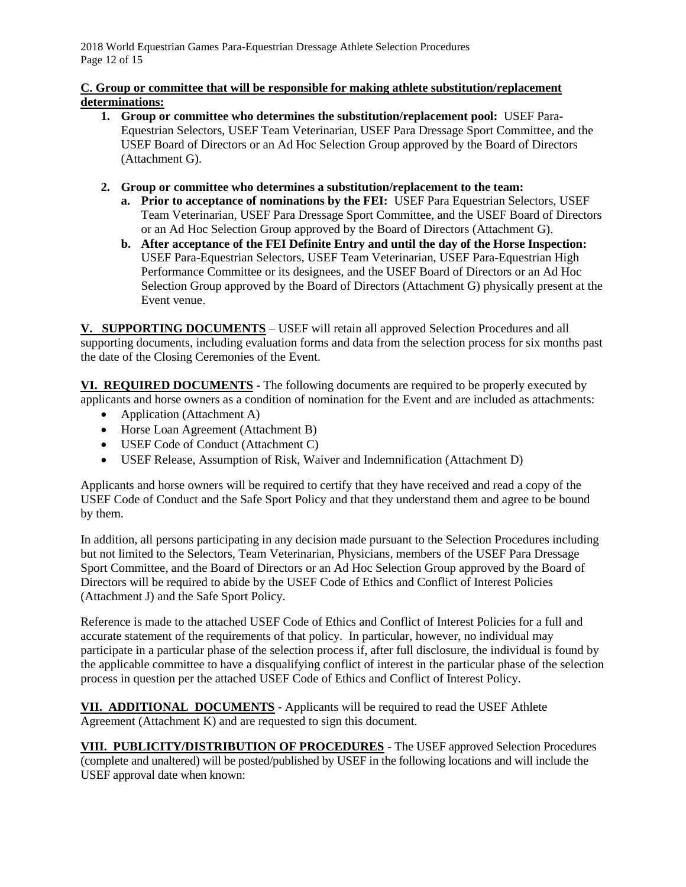2018 World Equestrian Games Para-Equestrian Dressage Athlete Selection Procedures Page 12 of 15

## **C. Group or committee that will be responsible for making athlete substitution/replacement determinations:**

- **1. Group or committee who determines the substitution/replacement pool:** USEF Para-Equestrian Selectors, USEF Team Veterinarian, USEF Para Dressage Sport Committee, and the USEF Board of Directors or an Ad Hoc Selection Group approved by the Board of Directors (Attachment G).
- **2. Group or committee who determines a substitution/replacement to the team:** 
	- **a. Prior to acceptance of nominations by the FEI:** USEF Para Equestrian Selectors, USEF Team Veterinarian, USEF Para Dressage Sport Committee, and the USEF Board of Directors or an Ad Hoc Selection Group approved by the Board of Directors (Attachment G).
	- **b. After acceptance of the FEI Definite Entry and until the day of the Horse Inspection:** USEF Para-Equestrian Selectors, USEF Team Veterinarian, USEF Para-Equestrian High Performance Committee or its designees, and the USEF Board of Directors or an Ad Hoc Selection Group approved by the Board of Directors (Attachment G) physically present at the Event venue.

**V. SUPPORTING DOCUMENTS** – USEF will retain all approved Selection Procedures and all supporting documents, including evaluation forms and data from the selection process for six months past the date of the Closing Ceremonies of the Event.

**VI. REQUIRED DOCUMENTS** - The following documents are required to be properly executed by applicants and horse owners as a condition of nomination for the Event and are included as attachments:

- Application (Attachment A)
- Horse Loan Agreement (Attachment B)
- USEF Code of Conduct (Attachment C)
- USEF Release, Assumption of Risk, Waiver and Indemnification (Attachment D)

Applicants and horse owners will be required to certify that they have received and read a copy of the USEF Code of Conduct and the Safe Sport Policy and that they understand them and agree to be bound by them.

In addition, all persons participating in any decision made pursuant to the Selection Procedures including but not limited to the Selectors, Team Veterinarian, Physicians, members of the USEF Para Dressage Sport Committee, and the Board of Directors or an Ad Hoc Selection Group approved by the Board of Directors will be required to abide by the USEF Code of Ethics and Conflict of Interest Policies (Attachment J) and the Safe Sport Policy.

Reference is made to the attached USEF Code of Ethics and Conflict of Interest Policies for a full and accurate statement of the requirements of that policy. In particular, however, no individual may participate in a particular phase of the selection process if, after full disclosure, the individual is found by the applicable committee to have a disqualifying conflict of interest in the particular phase of the selection process in question per the attached USEF Code of Ethics and Conflict of Interest Policy.

**VII. ADDITIONAL DOCUMENTS** - Applicants will be required to read the USEF Athlete Agreement (Attachment K) and are requested to sign this document.

**VIII. PUBLICITY/DISTRIBUTION OF PROCEDURES** - The USEF approved Selection Procedures (complete and unaltered) will be posted/published by USEF in the following locations and will include the USEF approval date when known: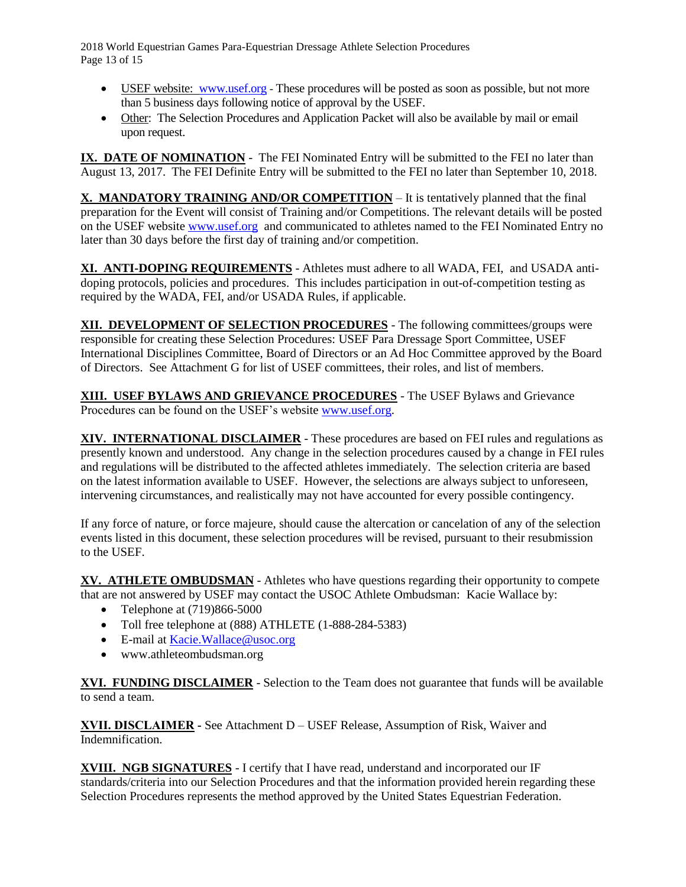2018 World Equestrian Games Para-Equestrian Dressage Athlete Selection Procedures Page 13 of 15

- USEF website: [www.usef.org](http://www.usef.org/) These procedures will be posted as soon as possible, but not more than 5 business days following notice of approval by the USEF.
- Other: The Selection Procedures and Application Packet will also be available by mail or email upon request.

**IX. DATE OF NOMINATION** - The FEI Nominated Entry will be submitted to the FEI no later than August 13, 2017. The FEI Definite Entry will be submitted to the FEI no later than September 10, 2018.

**X. MANDATORY TRAINING AND/OR COMPETITION** – It is tentatively planned that the final preparation for the Event will consist of Training and/or Competitions. The relevant details will be posted on the USEF website [www.usef.org](http://www.usef.org/) and communicated to athletes named to the FEI Nominated Entry no later than 30 days before the first day of training and/or competition.

**XI. ANTI-DOPING REQUIREMENTS** - Athletes must adhere to all WADA, FEI, and USADA antidoping protocols, policies and procedures. This includes participation in out-of-competition testing as required by the WADA, FEI, and/or USADA Rules, if applicable.

**XII. DEVELOPMENT OF SELECTION PROCEDURES** - The following committees/groups were responsible for creating these Selection Procedures: USEF Para Dressage Sport Committee, USEF International Disciplines Committee, Board of Directors or an Ad Hoc Committee approved by the Board of Directors. See Attachment G for list of USEF committees, their roles, and list of members.

**XIII. USEF BYLAWS AND GRIEVANCE PROCEDURES** - The USEF Bylaws and Grievance Procedures can be found on the USEF's website [www.usef.org.](http://www.usef.org/)

**XIV. INTERNATIONAL DISCLAIMER** - These procedures are based on FEI rules and regulations as presently known and understood. Any change in the selection procedures caused by a change in FEI rules and regulations will be distributed to the affected athletes immediately. The selection criteria are based on the latest information available to USEF. However, the selections are always subject to unforeseen, intervening circumstances, and realistically may not have accounted for every possible contingency.

If any force of nature, or force majeure, should cause the altercation or cancelation of any of the selection events listed in this document, these selection procedures will be revised, pursuant to their resubmission to the USEF.

**XV. ATHLETE OMBUDSMAN** - Athletes who have questions regarding their opportunity to compete that are not answered by USEF may contact the USOC Athlete Ombudsman: Kacie Wallace by:

- Telephone at  $(719)866-5000$
- Toll free telephone at (888) ATHLETE (1-888-284-5383)
- E-mail at [Kacie.Wallace@usoc.org](mailto:Kacie.Wallace@usoc.org)
- www.athleteombudsman.org

**XVI. FUNDING DISCLAIMER** - Selection to the Team does not guarantee that funds will be available to send a team.

**XVII. DISCLAIMER -** See Attachment D – USEF Release, Assumption of Risk, Waiver and Indemnification.

**XVIII. NGB SIGNATURES** - I certify that I have read, understand and incorporated our IF standards/criteria into our Selection Procedures and that the information provided herein regarding these Selection Procedures represents the method approved by the United States Equestrian Federation.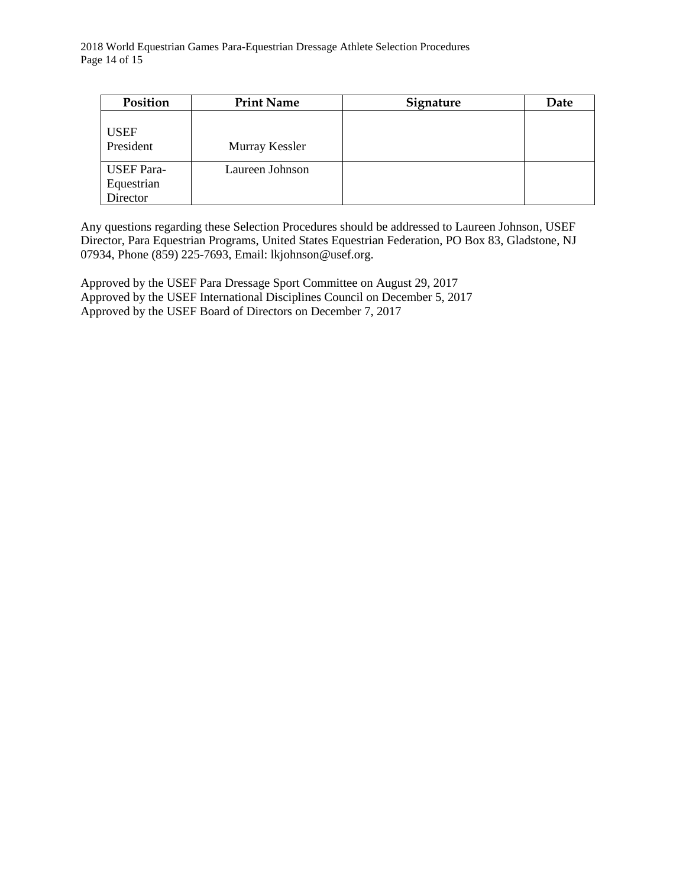| Position                                    | <b>Print Name</b> | Signature | Date |
|---------------------------------------------|-------------------|-----------|------|
| <b>USEF</b><br>President                    | Murray Kessler    |           |      |
| <b>USEF</b> Para-<br>Equestrian<br>Director | Laureen Johnson   |           |      |

Any questions regarding these Selection Procedures should be addressed to Laureen Johnson, USEF Director, Para Equestrian Programs, United States Equestrian Federation, PO Box 83, Gladstone, NJ 07934, Phone (859) 225-7693, Email: lkjohnson@usef.org.

Approved by the USEF Para Dressage Sport Committee on August 29, 2017 Approved by the USEF International Disciplines Council on December 5, 2017 Approved by the USEF Board of Directors on December 7, 2017